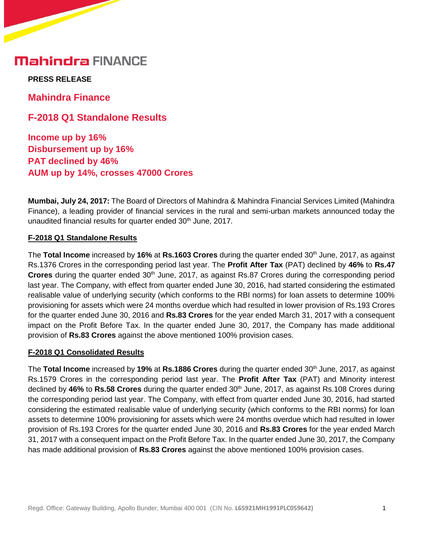## **Mahindra FINANCE**

**PRESS RELEASE** 

**Mahindra Finance**

**F-2018 Q1 Standalone Results**

**Income up by 16% Disbursement up by 16% PAT declined by 46% AUM up by 14%, crosses 47000 Crores**

**Mumbai, July 24, 2017:** The Board of Directors of Mahindra & Mahindra Financial Services Limited (Mahindra Finance), a leading provider of financial services in the rural and semi-urban markets announced today the unaudited financial results for quarter ended 30<sup>th</sup> June, 2017.

#### **F-2018 Q1 Standalone Results**

The **Total Income** increased by **16%** at **Rs.1603 Crores** during the quarter ended 30th June, 2017, as against Rs.1376 Crores in the corresponding period last year. The **Profit After Tax** (PAT) declined by **46%** to **Rs.47 Crores** during the quarter ended 30<sup>th</sup> June, 2017, as against Rs.87 Crores during the corresponding period last year. The Company, with effect from quarter ended June 30, 2016, had started considering the estimated realisable value of underlying security (which conforms to the RBI norms) for loan assets to determine 100% provisioning for assets which were 24 months overdue which had resulted in lower provision of Rs.193 Crores for the quarter ended June 30, 2016 and **Rs.83 Crores** for the year ended March 31, 2017 with a consequent impact on the Profit Before Tax. In the quarter ended June 30, 2017, the Company has made additional provision of **Rs.83 Crores** against the above mentioned 100% provision cases.

#### **F-2018 Q1 Consolidated Results**

The **Total Income** increased by **19%** at **Rs.1886 Crores** during the quarter ended 30th June, 2017, as against Rs.1579 Crores in the corresponding period last year. The **Profit After Tax** (PAT) and Minority interest declined by **46%** to **Rs.58 Crores** during the quarter ended 30th June, 2017, as against Rs.108 Crores during the corresponding period last year. The Company, with effect from quarter ended June 30, 2016, had started considering the estimated realisable value of underlying security (which conforms to the RBI norms) for loan assets to determine 100% provisioning for assets which were 24 months overdue which had resulted in lower provision of Rs.193 Crores for the quarter ended June 30, 2016 and **Rs.83 Crores** for the year ended March 31, 2017 with a consequent impact on the Profit Before Tax. In the quarter ended June 30, 2017, the Company has made additional provision of **Rs.83 Crores** against the above mentioned 100% provision cases.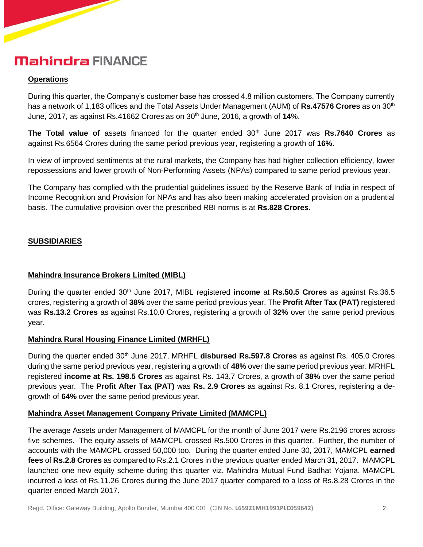# **Mahindra FINANCE**

#### **Operations**

During this quarter, the Company's customer base has crossed 4.8 million customers. The Company currently has a network of 1,183 offices and the Total Assets Under Management (AUM) of **Rs.47576 Crores** as on 30<sup>th</sup> June, 2017, as against Rs.41662 Crores as on 30<sup>th</sup> June, 2016, a growth of 14%.

**The Total value of** assets financed for the quarter ended 30<sup>th</sup> June 2017 was **Rs.7640 Crores** as against Rs.6564 Crores during the same period previous year, registering a growth of **16%**.

In view of improved sentiments at the rural markets, the Company has had higher collection efficiency, lower repossessions and lower growth of Non-Performing Assets (NPAs) compared to same period previous year.

The Company has complied with the prudential guidelines issued by the Reserve Bank of India in respect of Income Recognition and Provision for NPAs and has also been making accelerated provision on a prudential basis. The cumulative provision over the prescribed RBI norms is at **Rs.828 Crores**.

### **SUBSIDIARIES**

#### **Mahindra Insurance Brokers Limited (MIBL)**

During the quarter ended 30<sup>th</sup> June 2017, MIBL registered **income** at **Rs.50.5 Crores** as against Rs.36.5 crores, registering a growth of **38%** over the same period previous year. The **Profit After Tax (PAT)** registered was **Rs.13.2 Crores** as against Rs.10.0 Crores, registering a growth of **32%** over the same period previous year.

### **Mahindra Rural Housing Finance Limited (MRHFL)**

During the quarter ended 30th June 2017, MRHFL **disbursed Rs.597.8 Crores** as against Rs. 405.0 Crores during the same period previous year, registering a growth of **48%** over the same period previous year. MRHFL registered **income at Rs. 198.5 Crores** as against Rs. 143.7 Crores, a growth of **38%** over the same period previous year. The **Profit After Tax (PAT)** was **Rs. 2.9 Crores** as against Rs. 8.1 Crores, registering a degrowth of **64%** over the same period previous year.

#### **Mahindra Asset Management Company Private Limited (MAMCPL)**

The average Assets under Management of MAMCPL for the month of June 2017 were Rs.2196 crores across five schemes. The equity assets of MAMCPL crossed Rs.500 Crores in this quarter. Further, the number of accounts with the MAMCPL crossed 50,000 too. During the quarter ended June 30, 2017, MAMCPL **earned fees** of **Rs.2.8 Crores** as compared to Rs.2.1 Crores in the previous quarter ended March 31, 2017. MAMCPL launched one new equity scheme during this quarter viz. Mahindra Mutual Fund Badhat Yojana. MAMCPL incurred a loss of Rs.11.26 Crores during the June 2017 quarter compared to a loss of Rs.8.28 Crores in the quarter ended March 2017.